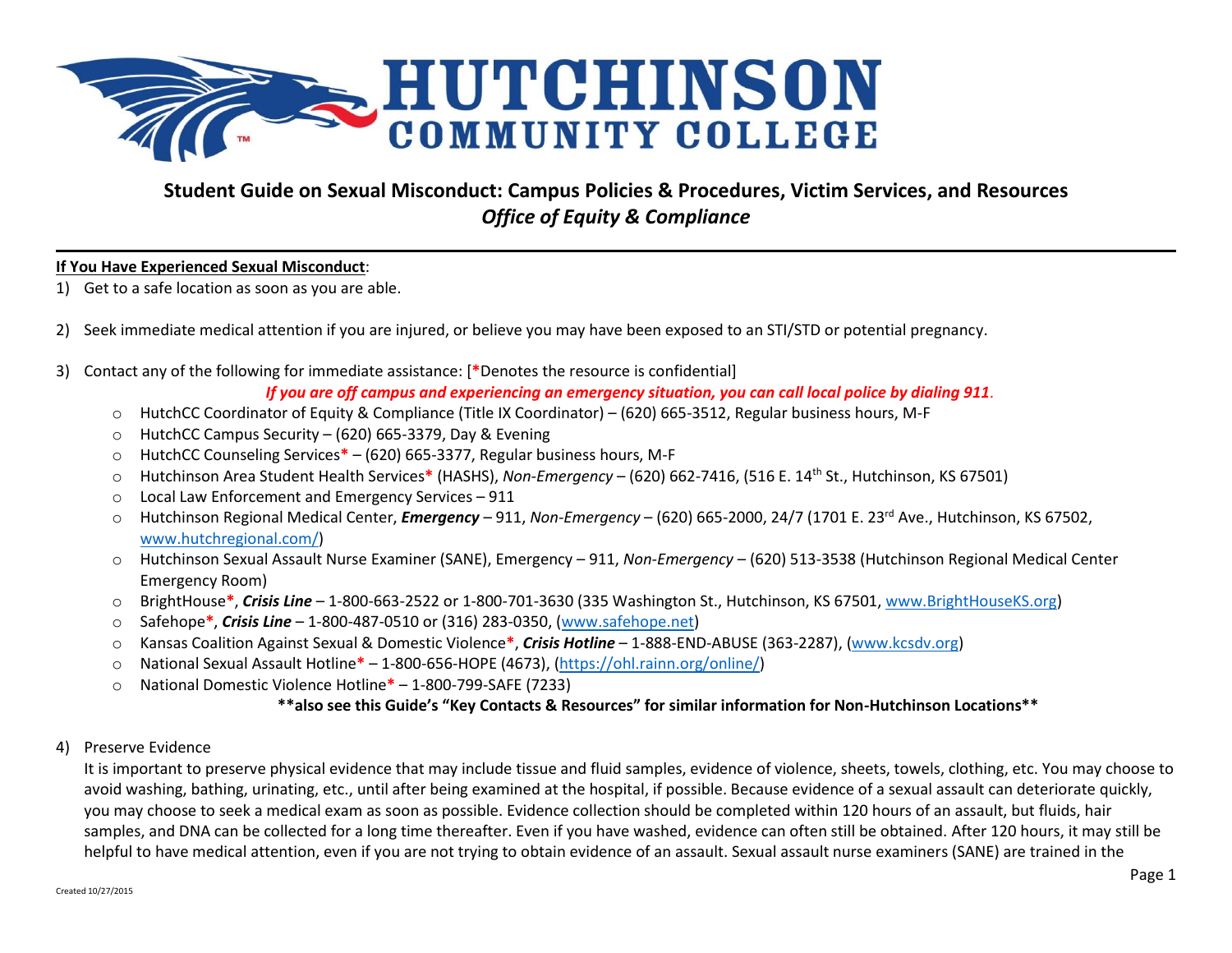

# **Student Guide on Sexual Misconduct: Campus Policies & Procedures, Victim Services, and Resources** *Office of Equity & Compliance*

# **If You Have Experienced Sexual Misconduct**:

- 1) Get to a safe location as soon as you are able.
- 2) Seek immediate medical attention if you are injured, or believe you may have been exposed to an STI/STD or potential pregnancy.
- 3) Contact any of the following for immediate assistance: [**\***Denotes the resource is confidential]

*If you are off campus and experiencing an emergency situation, you can call local police by dialing 911.*

- o HutchCC Coordinator of Equity & Compliance (Title IX Coordinator) (620) 665-3512, Regular business hours, M-F
- o HutchCC Campus Security (620) 665-3379, Day & Evening
- o HutchCC Counseling Services**\*** (620) 665-3377, Regular business hours, M-F
- o Hutchinson Area Student Health Services**\*** (HASHS), *Non-Emergency* (620) 662-7416, (516 E. 14th St., Hutchinson, KS 67501)
- o Local Law Enforcement and Emergency Services 911
- o Hutchinson Regional Medical Center, *Emergency* 911, *Non-Emergency* (620) 665-2000, 24/7 (1701 E. 23<sup>rd</sup> Ave., Hutchinson, KS 67502, [www.hutchregional.com/\)](http://www.hutchregional.com/)
- o Hutchinson Sexual Assault Nurse Examiner (SANE), Emergency 911, *Non-Emergency* (620) 513-3538 (Hutchinson Regional Medical Center Emergency Room)
- o BrightHouse**\***, *Crisis Line* 1-800-663-2522 or 1-800-701-3630 (335 Washington St., Hutchinson, KS 67501, [www.BrightHouseKS.org\)](http://www.brighthouseks.org/)
- o Safehope**\***, *Crisis Line* 1-800-487-0510 or (316) 283-0350, [\(www.safehope.net\)](http://www.safehope.net/)
- o Kansas Coalition Against Sexual & Domestic Violence**\***, *Crisis Hotline* 1-888-END-ABUSE (363-2287), [\(www.kcsdv.org\)](http://www.kcsdv.org/)
- o National Sexual Assault Hotline**\*** 1-800-656-HOPE (4673), [\(https://ohl.rainn.org/online/\)](https://ohl.rainn.org/online/)
- o National Domestic Violence Hotline**\*** 1-800-799-SAFE (7233)

# **\*\*also see this Guide's "Key Contacts & Resources" for similar information for Non-Hutchinson Locations\*\***

# 4) Preserve Evidence

It is important to preserve physical evidence that may include tissue and fluid samples, evidence of violence, sheets, towels, clothing, etc. You may choose to avoid washing, bathing, urinating, etc., until after being examined at the hospital, if possible. Because evidence of a sexual assault can deteriorate quickly, you may choose to seek a medical exam as soon as possible. Evidence collection should be completed within 120 hours of an assault, but fluids, hair samples, and DNA can be collected for a long time thereafter. Even if you have washed, evidence can often still be obtained. After 120 hours, it may still be helpful to have medical attention, even if you are not trying to obtain evidence of an assault. Sexual assault nurse examiners (SANE) are trained in the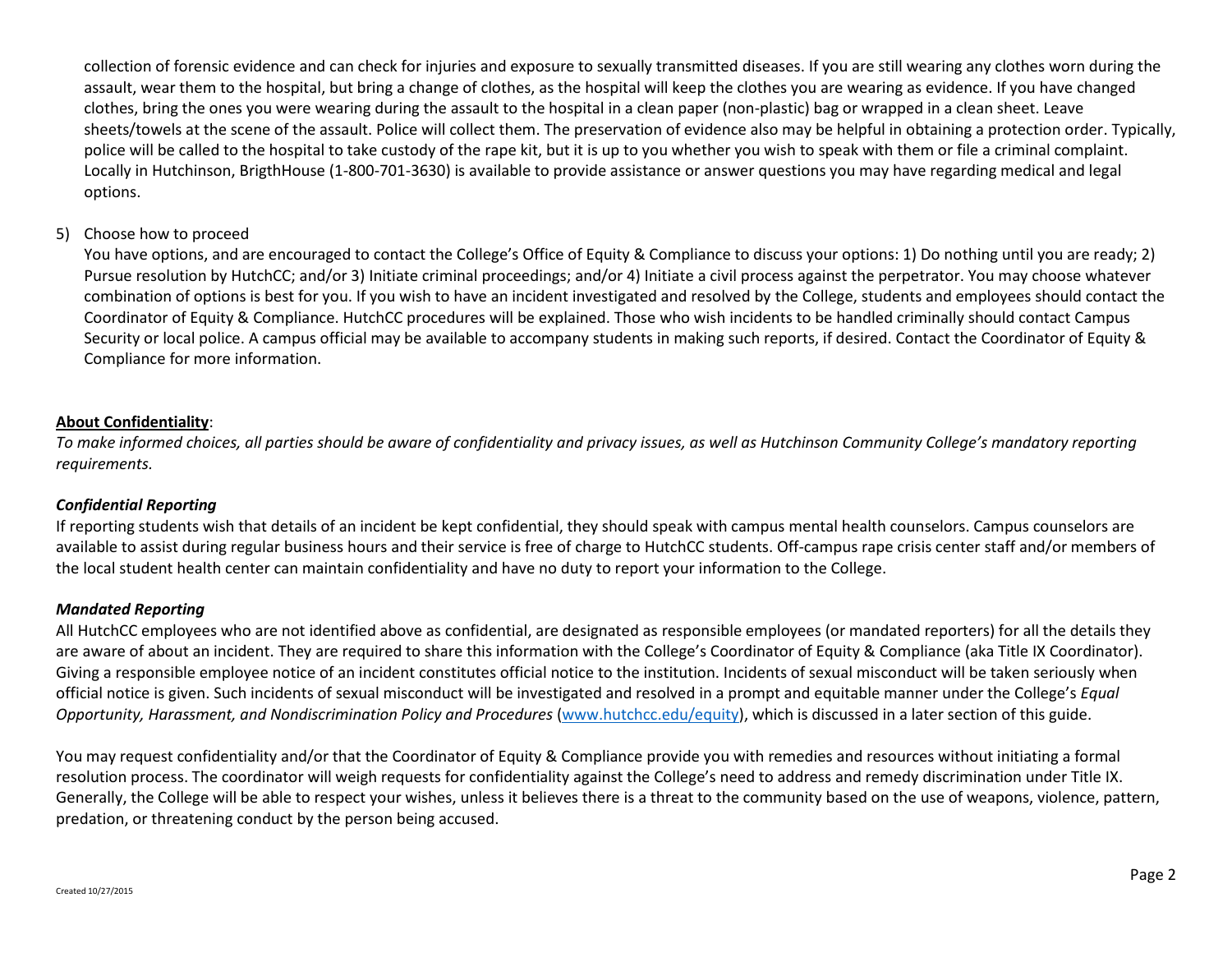collection of forensic evidence and can check for injuries and exposure to sexually transmitted diseases. If you are still wearing any clothes worn during the assault, wear them to the hospital, but bring a change of clothes, as the hospital will keep the clothes you are wearing as evidence. If you have changed clothes, bring the ones you were wearing during the assault to the hospital in a clean paper (non-plastic) bag or wrapped in a clean sheet. Leave sheets/towels at the scene of the assault. Police will collect them. The preservation of evidence also may be helpful in obtaining a protection order. Typically, police will be called to the hospital to take custody of the rape kit, but it is up to you whether you wish to speak with them or file a criminal complaint. Locally in Hutchinson, BrigthHouse (1-800-701-3630) is available to provide assistance or answer questions you may have regarding medical and legal options.

# 5) Choose how to proceed

You have options, and are encouraged to contact the College's Office of Equity & Compliance to discuss your options: 1) Do nothing until you are ready; 2) Pursue resolution by HutchCC; and/or 3) Initiate criminal proceedings; and/or 4) Initiate a civil process against the perpetrator. You may choose whatever combination of options is best for you. If you wish to have an incident investigated and resolved by the College, students and employees should contact the Coordinator of Equity & Compliance. HutchCC procedures will be explained. Those who wish incidents to be handled criminally should contact Campus Security or local police. A campus official may be available to accompany students in making such reports, if desired. Contact the Coordinator of Equity & Compliance for more information.

# **About Confidentiality**:

*To make informed choices, all parties should be aware of confidentiality and privacy issues, as well as Hutchinson Community College's mandatory reporting requirements.*

# *Confidential Reporting*

If reporting students wish that details of an incident be kept confidential, they should speak with campus mental health counselors. Campus counselors are available to assist during regular business hours and their service is free of charge to HutchCC students. Off-campus rape crisis center staff and/or members of the local student health center can maintain confidentiality and have no duty to report your information to the College.

# *Mandated Reporting*

All HutchCC employees who are not identified above as confidential, are designated as responsible employees (or mandated reporters) for all the details they are aware of about an incident. They are required to share this information with the College's Coordinator of Equity & Compliance (aka Title IX Coordinator). Giving a responsible employee notice of an incident constitutes official notice to the institution. Incidents of sexual misconduct will be taken seriously when official notice is given. Such incidents of sexual misconduct will be investigated and resolved in a prompt and equitable manner under the College's *Equal Opportunity, Harassment, and Nondiscrimination Policy and Procedures* [\(www.hutchcc.edu/equity\)](http://www.hutchcc.edu/equity), which is discussed in a later section of this guide.

You may request confidentiality and/or that the Coordinator of Equity & Compliance provide you with remedies and resources without initiating a formal resolution process. The coordinator will weigh requests for confidentiality against the College's need to address and remedy discrimination under Title IX. Generally, the College will be able to respect your wishes, unless it believes there is a threat to the community based on the use of weapons, violence, pattern, predation, or threatening conduct by the person being accused.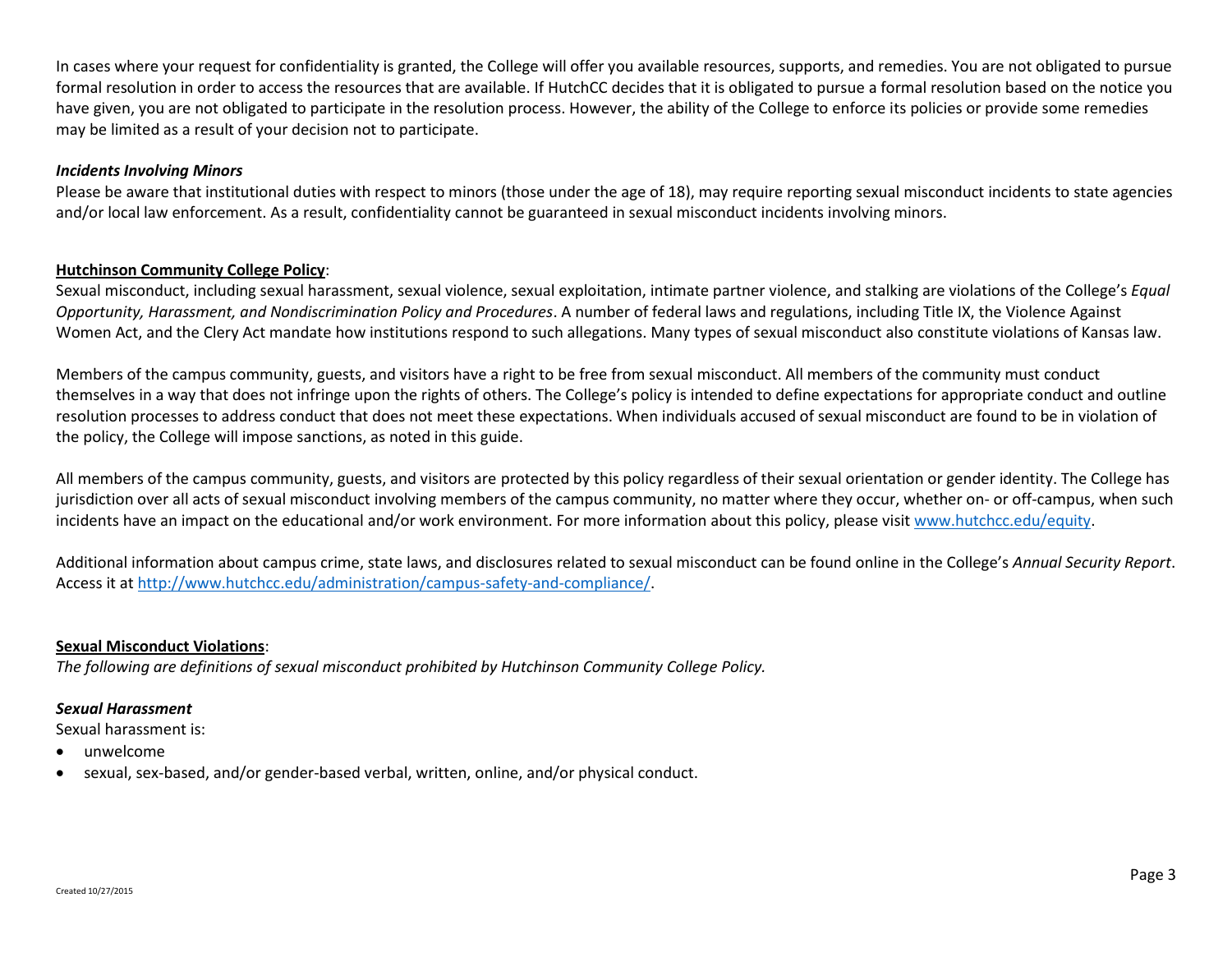In cases where your request for confidentiality is granted, the College will offer you available resources, supports, and remedies. You are not obligated to pursue formal resolution in order to access the resources that are available. If HutchCC decides that it is obligated to pursue a formal resolution based on the notice you have given, you are not obligated to participate in the resolution process. However, the ability of the College to enforce its policies or provide some remedies may be limited as a result of your decision not to participate.

### *Incidents Involving Minors*

Please be aware that institutional duties with respect to minors (those under the age of 18), may require reporting sexual misconduct incidents to state agencies and/or local law enforcement. As a result, confidentiality cannot be guaranteed in sexual misconduct incidents involving minors.

# **Hutchinson Community College Policy**:

Sexual misconduct, including sexual harassment, sexual violence, sexual exploitation, intimate partner violence, and stalking are violations of the College's *Equal Opportunity, Harassment, and Nondiscrimination Policy and Procedures*. A number of federal laws and regulations, including Title IX, the Violence Against Women Act, and the Clery Act mandate how institutions respond to such allegations. Many types of sexual misconduct also constitute violations of Kansas law.

Members of the campus community, guests, and visitors have a right to be free from sexual misconduct. All members of the community must conduct themselves in a way that does not infringe upon the rights of others. The College's policy is intended to define expectations for appropriate conduct and outline resolution processes to address conduct that does not meet these expectations. When individuals accused of sexual misconduct are found to be in violation of the policy, the College will impose sanctions, as noted in this guide.

All members of the campus community, guests, and visitors are protected by this policy regardless of their sexual orientation or gender identity. The College has jurisdiction over all acts of sexual misconduct involving members of the campus community, no matter where they occur, whether on- or off-campus, when such incidents have an impact on the educational and/or work environment. For more information about this policy, please visi[t www.hutchcc.edu/equity.](http://www.hutchcc.edu/equity)

Additional information about campus crime, state laws, and disclosures related to sexual misconduct can be found online in the College's *Annual Security Report*. Access it a[t http://www.hutchcc.edu/administration/campus-safety-and-compliance/.](http://www.hutchcc.edu/administration/campus-safety-and-compliance/)

# **Sexual Misconduct Violations**:

*The following are definitions of sexual misconduct prohibited by Hutchinson Community College Policy.*

# *Sexual Harassment*

Sexual harassment is:

- unwelcome
- sexual, sex-based, and/or gender-based verbal, written, online, and/or physical conduct.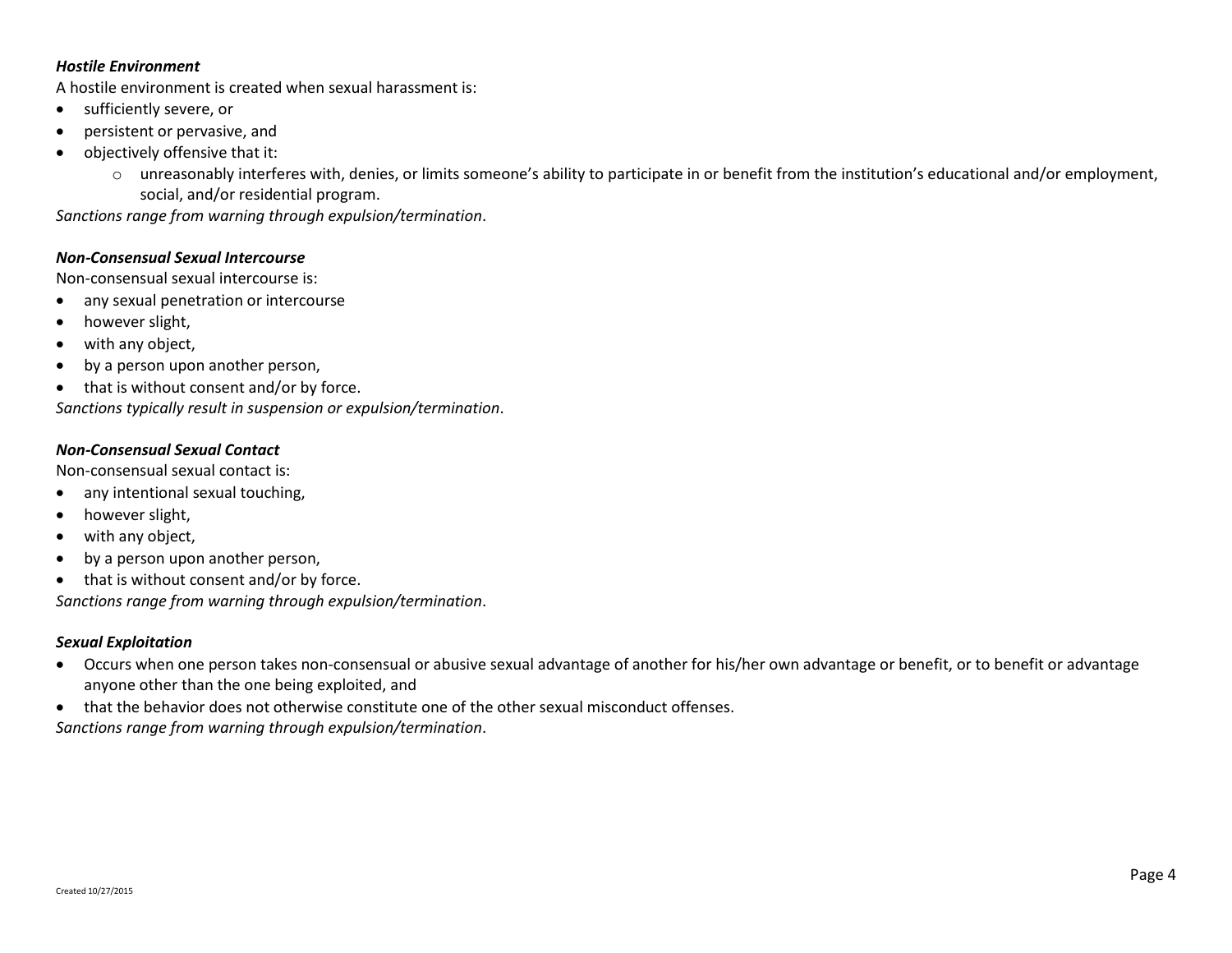#### *Hostile Environment*

A hostile environment is created when sexual harassment is:

- sufficiently severe, or
- persistent or pervasive, and
- objectively offensive that it:
	- o unreasonably interferes with, denies, or limits someone's ability to participate in or benefit from the institution's educational and/or employment, social, and/or residential program.

*Sanctions range from warning through expulsion/termination*.

### *Non-Consensual Sexual Intercourse*

Non-consensual sexual intercourse is:

- any sexual penetration or intercourse
- however slight,
- with any object,
- by a person upon another person,
- that is without consent and/or by force.

*Sanctions typically result in suspension or expulsion/termination*.

# *Non-Consensual Sexual Contact*

Non-consensual sexual contact is:

- any intentional sexual touching,
- however slight,
- with any object,
- by a person upon another person,
- that is without consent and/or by force.

*Sanctions range from warning through expulsion/termination*.

# *Sexual Exploitation*

- Occurs when one person takes non-consensual or abusive sexual advantage of another for his/her own advantage or benefit, or to benefit or advantage anyone other than the one being exploited, and
- that the behavior does not otherwise constitute one of the other sexual misconduct offenses.

*Sanctions range from warning through expulsion/termination*.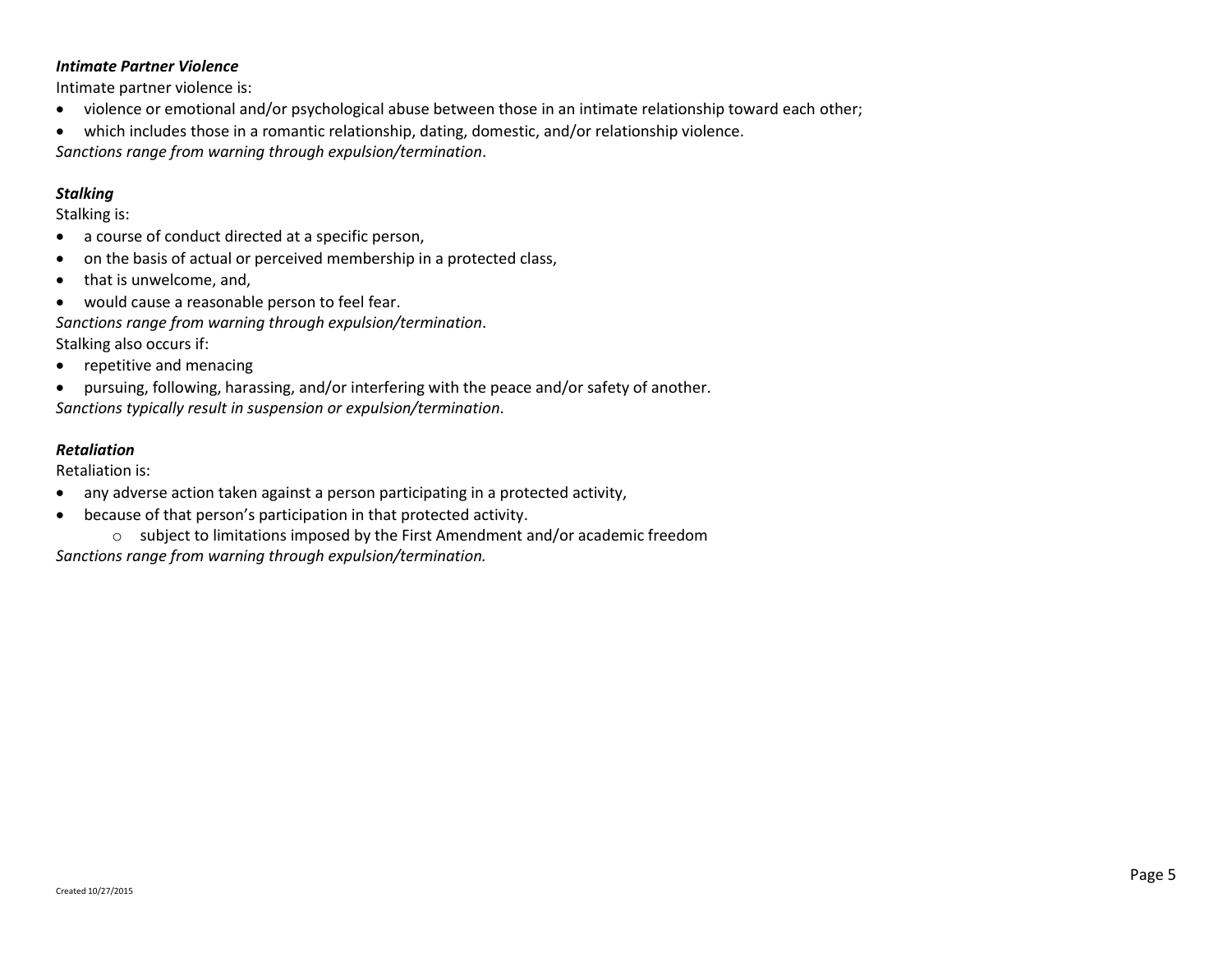### *Intimate Partner Violence*

Intimate partner violence is:

- violence or emotional and/or psychological abuse between those in an intimate relationship toward each other;
- which includes those in a romantic relationship, dating, domestic, and/or relationship violence. *Sanctions range from warning through expulsion/termination*.

# *Stalking*

Stalking is:

- a course of conduct directed at a specific person,
- on the basis of actual or perceived membership in a protected class,
- that is unwelcome, and,
- would cause a reasonable person to feel fear.

*Sanctions range from warning through expulsion/termination*.

Stalking also occurs if:

• repetitive and menacing

 pursuing, following, harassing, and/or interfering with the peace and/or safety of another. *Sanctions typically result in suspension or expulsion/termination*.

# *Retaliation*

Retaliation is:

- any adverse action taken against a person participating in a protected activity,
- because of that person's participation in that protected activity.

o subject to limitations imposed by the First Amendment and/or academic freedom *Sanctions range from warning through expulsion/termination.*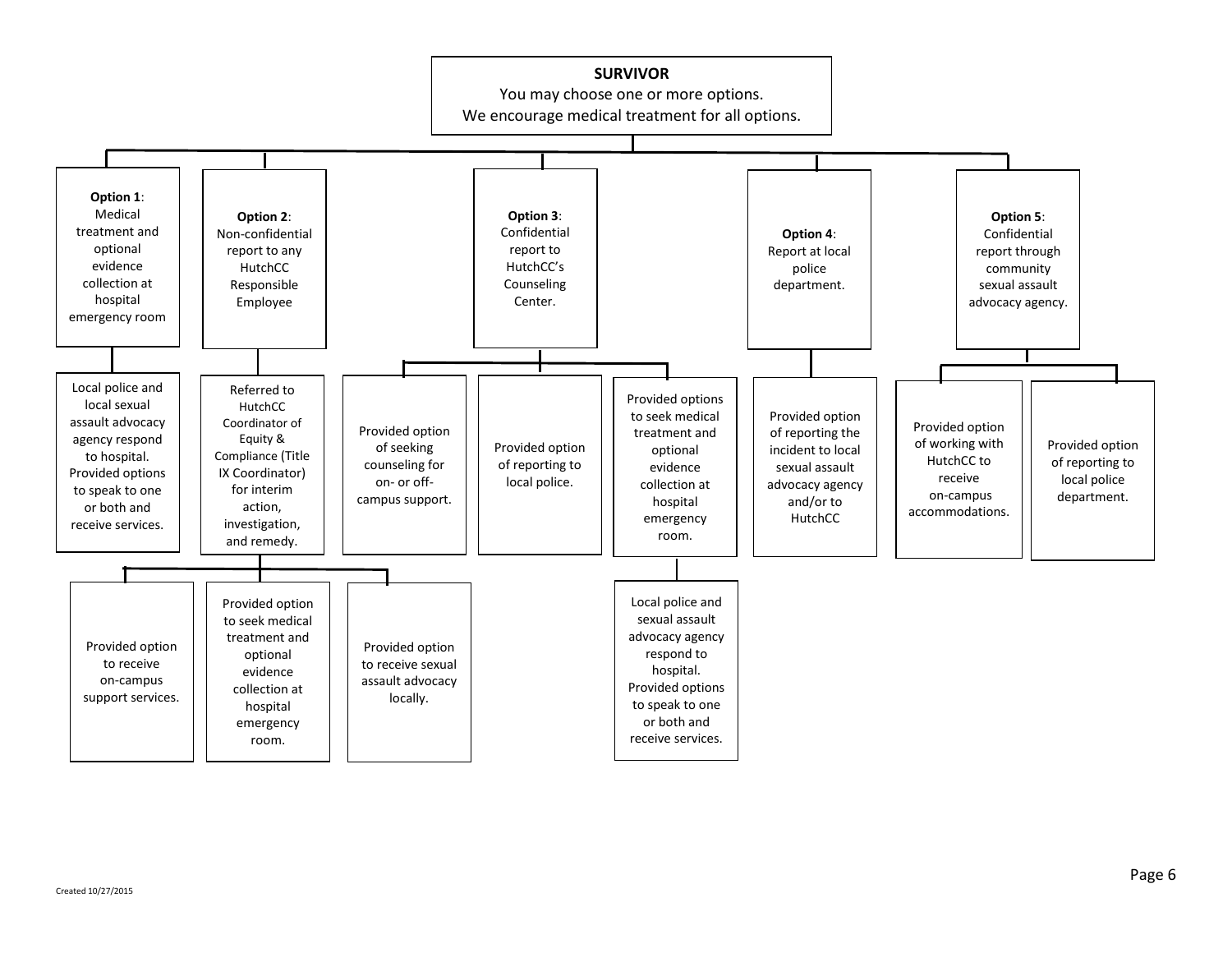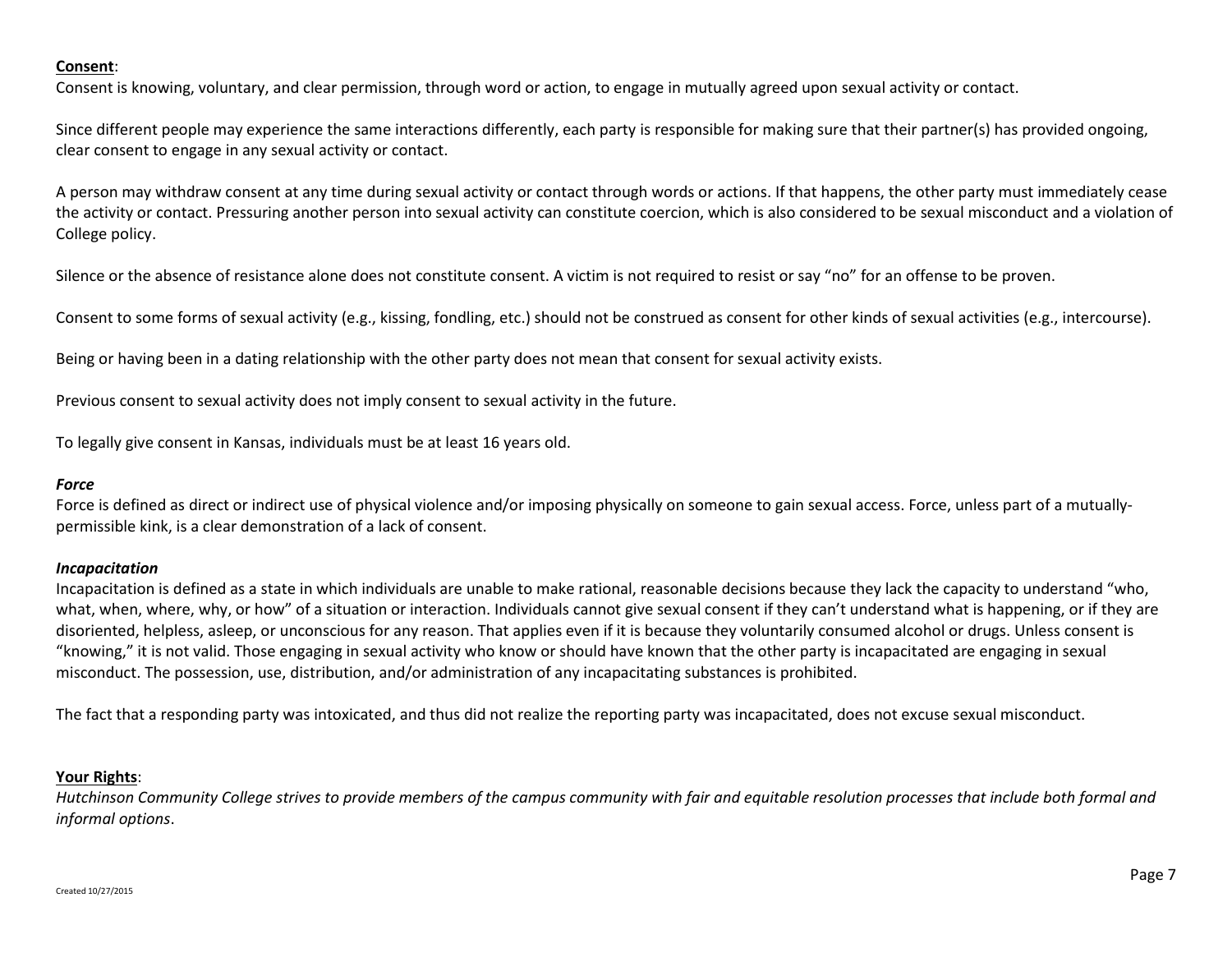### **Consent**:

Consent is knowing, voluntary, and clear permission, through word or action, to engage in mutually agreed upon sexual activity or contact.

Since different people may experience the same interactions differently, each party is responsible for making sure that their partner(s) has provided ongoing, clear consent to engage in any sexual activity or contact.

A person may withdraw consent at any time during sexual activity or contact through words or actions. If that happens, the other party must immediately cease the activity or contact. Pressuring another person into sexual activity can constitute coercion, which is also considered to be sexual misconduct and a violation of College policy.

Silence or the absence of resistance alone does not constitute consent. A victim is not required to resist or say "no" for an offense to be proven.

Consent to some forms of sexual activity (e.g., kissing, fondling, etc.) should not be construed as consent for other kinds of sexual activities (e.g., intercourse).

Being or having been in a dating relationship with the other party does not mean that consent for sexual activity exists.

Previous consent to sexual activity does not imply consent to sexual activity in the future.

To legally give consent in Kansas, individuals must be at least 16 years old.

#### *Force*

Force is defined as direct or indirect use of physical violence and/or imposing physically on someone to gain sexual access. Force, unless part of a mutuallypermissible kink, is a clear demonstration of a lack of consent.

#### *Incapacitation*

Incapacitation is defined as a state in which individuals are unable to make rational, reasonable decisions because they lack the capacity to understand "who, what, when, where, why, or how" of a situation or interaction. Individuals cannot give sexual consent if they can't understand what is happening, or if they are disoriented, helpless, asleep, or unconscious for any reason. That applies even if it is because they voluntarily consumed alcohol or drugs. Unless consent is "knowing," it is not valid. Those engaging in sexual activity who know or should have known that the other party is incapacitated are engaging in sexual misconduct. The possession, use, distribution, and/or administration of any incapacitating substances is prohibited.

The fact that a responding party was intoxicated, and thus did not realize the reporting party was incapacitated, does not excuse sexual misconduct.

#### **Your Rights**:

*Hutchinson Community College strives to provide members of the campus community with fair and equitable resolution processes that include both formal and informal options*.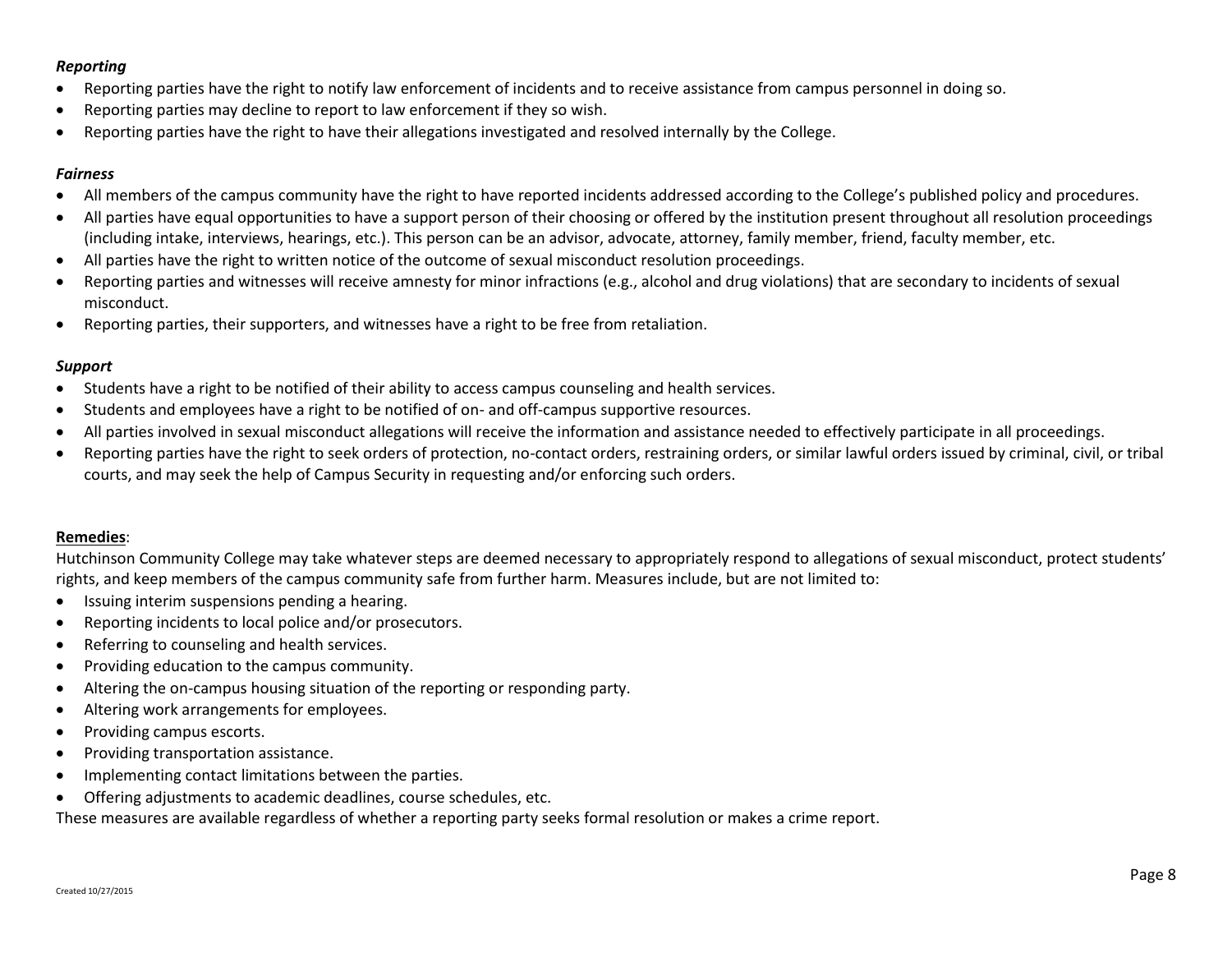# *Reporting*

- Reporting parties have the right to notify law enforcement of incidents and to receive assistance from campus personnel in doing so.
- Reporting parties may decline to report to law enforcement if they so wish.
- Reporting parties have the right to have their allegations investigated and resolved internally by the College.

# *Fairness*

- All members of the campus community have the right to have reported incidents addressed according to the College's published policy and procedures.
- All parties have equal opportunities to have a support person of their choosing or offered by the institution present throughout all resolution proceedings (including intake, interviews, hearings, etc.). This person can be an advisor, advocate, attorney, family member, friend, faculty member, etc.
- All parties have the right to written notice of the outcome of sexual misconduct resolution proceedings.
- Reporting parties and witnesses will receive amnesty for minor infractions (e.g., alcohol and drug violations) that are secondary to incidents of sexual misconduct.
- Reporting parties, their supporters, and witnesses have a right to be free from retaliation.

# *Support*

- Students have a right to be notified of their ability to access campus counseling and health services.
- Students and employees have a right to be notified of on- and off-campus supportive resources.
- All parties involved in sexual misconduct allegations will receive the information and assistance needed to effectively participate in all proceedings.
- Reporting parties have the right to seek orders of protection, no-contact orders, restraining orders, or similar lawful orders issued by criminal, civil, or tribal courts, and may seek the help of Campus Security in requesting and/or enforcing such orders.

# **Remedies**:

Hutchinson Community College may take whatever steps are deemed necessary to appropriately respond to allegations of sexual misconduct, protect students' rights, and keep members of the campus community safe from further harm. Measures include, but are not limited to:

- Issuing interim suspensions pending a hearing.
- Reporting incidents to local police and/or prosecutors.
- Referring to counseling and health services.
- Providing education to the campus community.
- Altering the on-campus housing situation of the reporting or responding party.
- Altering work arrangements for employees.
- Providing campus escorts.
- Providing transportation assistance.
- Implementing contact limitations between the parties.
- Offering adjustments to academic deadlines, course schedules, etc.

These measures are available regardless of whether a reporting party seeks formal resolution or makes a crime report.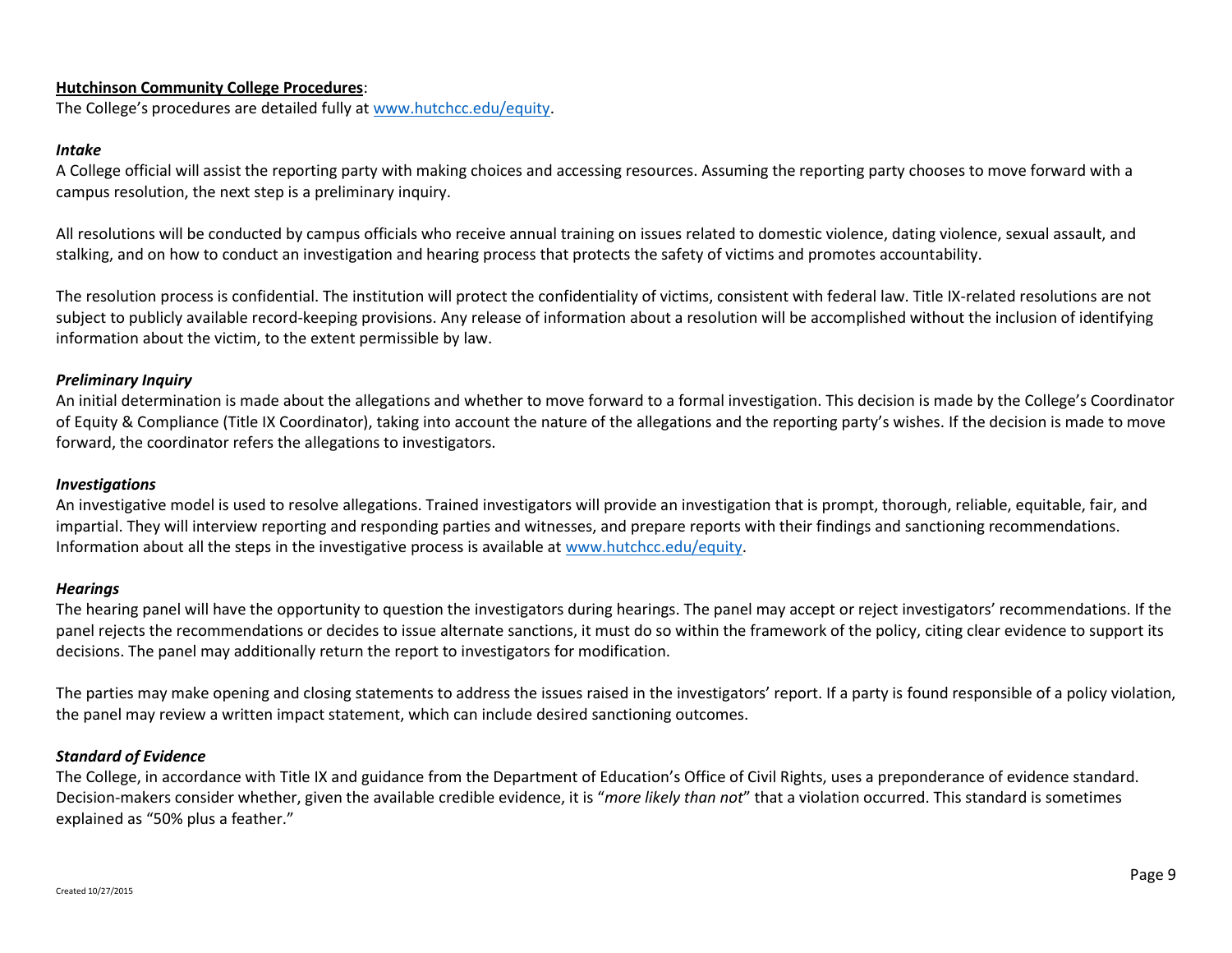# **Hutchinson Community College Procedures**:

The College's procedures are detailed fully at [www.hutchcc.edu/equity.](http://www.hutchcc.edu/equity)

#### *Intake*

A College official will assist the reporting party with making choices and accessing resources. Assuming the reporting party chooses to move forward with a campus resolution, the next step is a preliminary inquiry.

All resolutions will be conducted by campus officials who receive annual training on issues related to domestic violence, dating violence, sexual assault, and stalking, and on how to conduct an investigation and hearing process that protects the safety of victims and promotes accountability.

The resolution process is confidential. The institution will protect the confidentiality of victims, consistent with federal law. Title IX-related resolutions are not subject to publicly available record-keeping provisions. Any release of information about a resolution will be accomplished without the inclusion of identifying information about the victim, to the extent permissible by law.

### *Preliminary Inquiry*

An initial determination is made about the allegations and whether to move forward to a formal investigation. This decision is made by the College's Coordinator of Equity & Compliance (Title IX Coordinator), taking into account the nature of the allegations and the reporting party's wishes. If the decision is made to move forward, the coordinator refers the allegations to investigators.

#### *Investigations*

An investigative model is used to resolve allegations. Trained investigators will provide an investigation that is prompt, thorough, reliable, equitable, fair, and impartial. They will interview reporting and responding parties and witnesses, and prepare reports with their findings and sanctioning recommendations. Information about all the steps in the investigative process is available at [www.hutchcc.edu/equity.](http://www.hutchcc.edu/equity)

#### *Hearings*

The hearing panel will have the opportunity to question the investigators during hearings. The panel may accept or reject investigators' recommendations. If the panel rejects the recommendations or decides to issue alternate sanctions, it must do so within the framework of the policy, citing clear evidence to support its decisions. The panel may additionally return the report to investigators for modification.

The parties may make opening and closing statements to address the issues raised in the investigators' report. If a party is found responsible of a policy violation, the panel may review a written impact statement, which can include desired sanctioning outcomes.

#### *Standard of Evidence*

The College, in accordance with Title IX and guidance from the Department of Education's Office of Civil Rights, uses a preponderance of evidence standard. Decision-makers consider whether, given the available credible evidence, it is "*more likely than not*" that a violation occurred. This standard is sometimes explained as "50% plus a feather."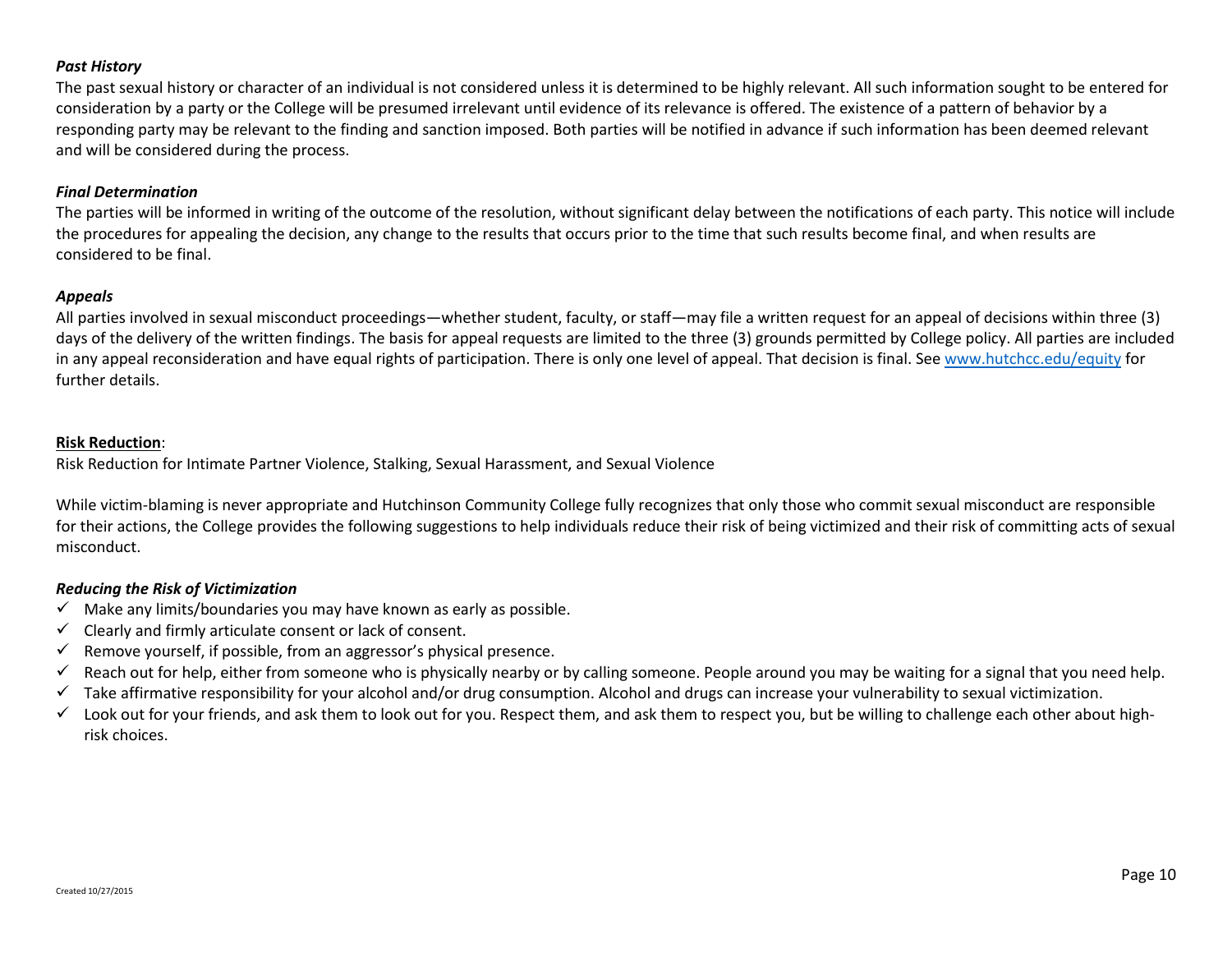# *Past History*

The past sexual history or character of an individual is not considered unless it is determined to be highly relevant. All such information sought to be entered for consideration by a party or the College will be presumed irrelevant until evidence of its relevance is offered. The existence of a pattern of behavior by a responding party may be relevant to the finding and sanction imposed. Both parties will be notified in advance if such information has been deemed relevant and will be considered during the process.

### *Final Determination*

The parties will be informed in writing of the outcome of the resolution, without significant delay between the notifications of each party. This notice will include the procedures for appealing the decision, any change to the results that occurs prior to the time that such results become final, and when results are considered to be final.

### *Appeals*

All parties involved in sexual misconduct proceedings—whether student, faculty, or staff—may file a written request for an appeal of decisions within three (3) days of the delivery of the written findings. The basis for appeal requests are limited to the three (3) grounds permitted by College policy. All parties are included in any appeal reconsideration and have equal rights of participation. There is only one level of appeal. That decision is final. See [www.hutchcc.edu/equity](http://www.hutchcc.edu/equity) for further details.

### **Risk Reduction**:

Risk Reduction for Intimate Partner Violence, Stalking, Sexual Harassment, and Sexual Violence

While victim-blaming is never appropriate and Hutchinson Community College fully recognizes that only those who commit sexual misconduct are responsible for their actions, the College provides the following suggestions to help individuals reduce their risk of being victimized and their risk of committing acts of sexual misconduct.

# *Reducing the Risk of Victimization*

- $\checkmark$  Make any limits/boundaries you may have known as early as possible.
- $\checkmark$  Clearly and firmly articulate consent or lack of consent.
- $\checkmark$  Remove yourself, if possible, from an aggressor's physical presence.
- $\checkmark$  Reach out for help, either from someone who is physically nearby or by calling someone. People around you may be waiting for a signal that you need help.
- $\checkmark$  Take affirmative responsibility for your alcohol and/or drug consumption. Alcohol and drugs can increase your vulnerability to sexual victimization.
- $\checkmark$  Look out for your friends, and ask them to look out for you. Respect them, and ask them to respect you, but be willing to challenge each other about highrisk choices.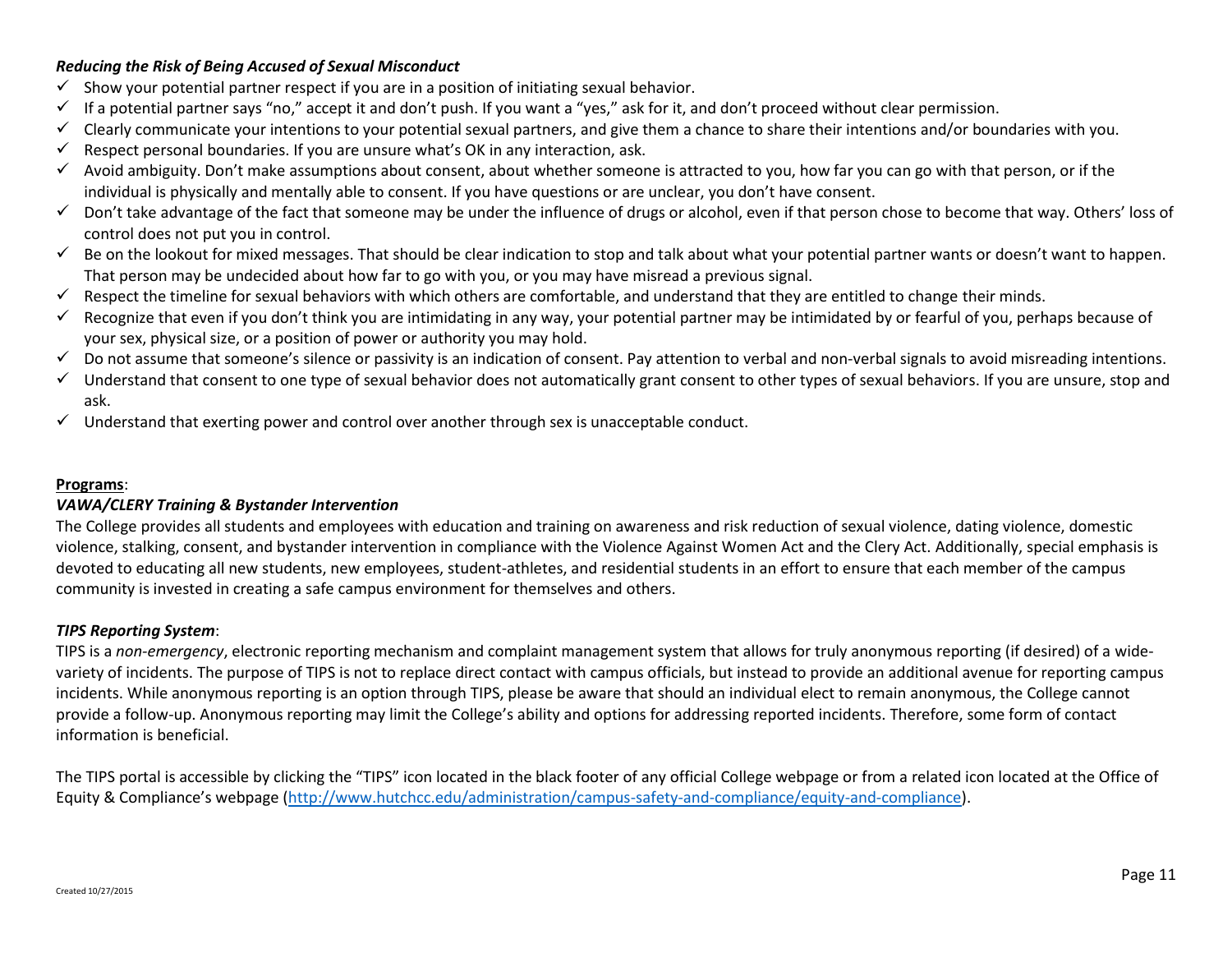# *Reducing the Risk of Being Accused of Sexual Misconduct*

- $\checkmark$  Show your potential partner respect if you are in a position of initiating sexual behavior.
- $\checkmark$  If a potential partner says "no," accept it and don't push. If you want a "yes," ask for it, and don't proceed without clear permission.
- $\checkmark$  Clearly communicate your intentions to your potential sexual partners, and give them a chance to share their intentions and/or boundaries with you.
- $\checkmark$  Respect personal boundaries. If you are unsure what's OK in any interaction, ask.
- $\checkmark$  Avoid ambiguity. Don't make assumptions about consent, about whether someone is attracted to you, how far you can go with that person, or if the individual is physically and mentally able to consent. If you have questions or are unclear, you don't have consent.
- $\checkmark$  Don't take advantage of the fact that someone may be under the influence of drugs or alcohol, even if that person chose to become that way. Others' loss of control does not put you in control.
- $\checkmark$  Be on the lookout for mixed messages. That should be clear indication to stop and talk about what your potential partner wants or doesn't want to happen. That person may be undecided about how far to go with you, or you may have misread a previous signal.
- $\checkmark$  Respect the timeline for sexual behaviors with which others are comfortable, and understand that they are entitled to change their minds.
- $\checkmark$  Recognize that even if you don't think you are intimidating in any way, your potential partner may be intimidated by or fearful of you, perhaps because of your sex, physical size, or a position of power or authority you may hold.
- Do not assume that someone's silence or passivity is an indication of consent. Pay attention to verbal and non-verbal signals to avoid misreading intentions.
- $\checkmark$  Understand that consent to one type of sexual behavior does not automatically grant consent to other types of sexual behaviors. If you are unsure, stop and ask.
- $\checkmark$  Understand that exerting power and control over another through sex is unacceptable conduct.

# **Programs**:

# *VAWA/CLERY Training & Bystander Intervention*

The College provides all students and employees with education and training on awareness and risk reduction of sexual violence, dating violence, domestic violence, stalking, consent, and bystander intervention in compliance with the Violence Against Women Act and the Clery Act. Additionally, special emphasis is devoted to educating all new students, new employees, student-athletes, and residential students in an effort to ensure that each member of the campus community is invested in creating a safe campus environment for themselves and others.

# *TIPS Reporting System*:

TIPS is a *non-emergency*, electronic reporting mechanism and complaint management system that allows for truly anonymous reporting (if desired) of a widevariety of incidents. The purpose of TIPS is not to replace direct contact with campus officials, but instead to provide an additional avenue for reporting campus incidents. While anonymous reporting is an option through TIPS, please be aware that should an individual elect to remain anonymous, the College cannot provide a follow-up. Anonymous reporting may limit the College's ability and options for addressing reported incidents. Therefore, some form of contact information is beneficial.

The TIPS portal is accessible by clicking the "TIPS" icon located in the black footer of any official College webpage or from a related icon located at the Office of Equity & Compliance's webpage ([http://www.hutchcc.edu/administration/campus-safety-and-compliance/equity-and-compliance\)](http://www.hutchcc.edu/administration/campus-safety-and-compliance/equity-and-compliance).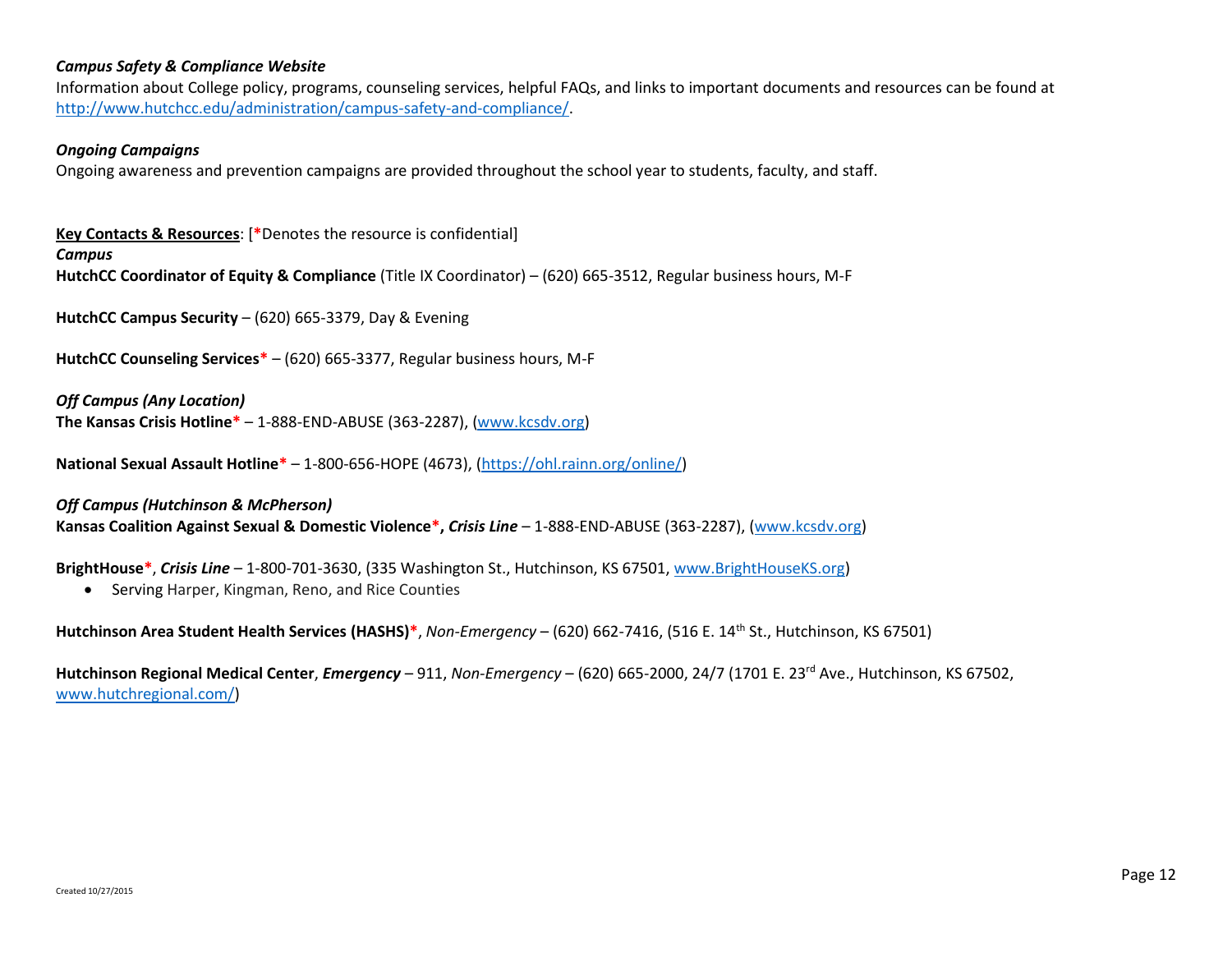### *Campus Safety & Compliance Website*

Information about College policy, programs, counseling services, helpful FAQs, and links to important documents and resources can be found at [http://www.hutchcc.edu/administration/campus-safety-and-compliance/.](http://www.hutchcc.edu/administration/campus-safety-and-compliance/)

#### *Ongoing Campaigns*

Ongoing awareness and prevention campaigns are provided throughout the school year to students, faculty, and staff.

**Key Contacts & Resources**: [**\***Denotes the resource is confidential]

*Campus*

**HutchCC Coordinator of Equity & Compliance** (Title IX Coordinator) – (620) 665-3512, Regular business hours, M-F

**HutchCC Campus Security** – (620) 665-3379, Day & Evening

**HutchCC Counseling Services\*** – (620) 665-3377, Regular business hours, M-F

*Off Campus (Any Location)*

**The Kansas Crisis Hotline\*** – 1-888-END-ABUSE (363-2287), [\(www.kcsdv.org\)](http://www.kcsdv.org/)

**National Sexual Assault Hotline\*** – 1-800-656-HOPE (4673), [\(https://ohl.rainn.org/online/\)](https://ohl.rainn.org/online/)

*Off Campus (Hutchinson & McPherson)* **Kansas Coalition Against Sexual & Domestic Violence\*,** *Crisis Line* – 1-888-END-ABUSE (363-2287), [\(www.kcsdv.org\)](http://www.kcsdv.org/)

**BrightHouse\***, *Crisis Line* – 1-800-701-3630, (335 Washington St., Hutchinson, KS 67501, [www.BrightHouseKS.org\)](http://www.brighthouseks.org/)

• Serving Harper, Kingman, Reno, and Rice Counties

**Hutchinson Area Student Health Services (HASHS)\***, *Non-Emergency* – (620) 662-7416, (516 E. 14th St., Hutchinson, KS 67501)

Hutchinson Regional Medical Center, *Emergency* – 911, *Non-Emergency* – (620) 665-2000, 24/7 (1701 E. 23<sup>rd</sup> Ave., Hutchinson, KS 67502, [www.hutchregional.com/\)](http://www.hutchregional.com/)